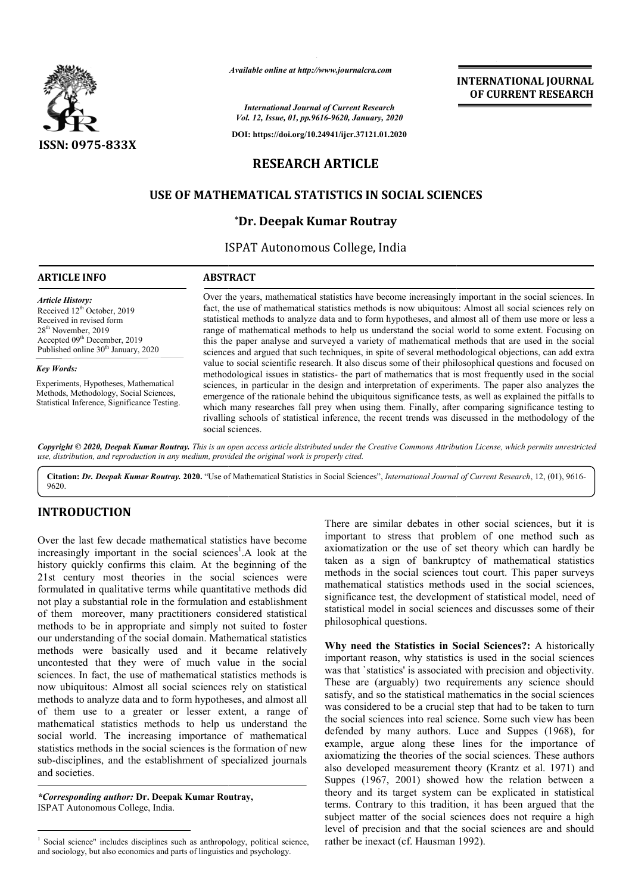

*Available online at http://www.journalcra.com*

*International Journal of Current Research Vol. 12, Issue, 01, pp.9616-9620, January, 2020*

**DOI: https://doi.org/10.24941/ijcr.37121.01.2020**

# **RESEARCH ARTICLE**

# **USE OF MATHEMATICAL STATISTICS IN SOCIAL SCIENCES SOCIAL SCIENCES**

## **\*Dr. Deepak Kumar Routray**

ISPAT Autonomous College, India

## **ARTICLE INFO ABSTRACT**

*Article History:* Received 12<sup>th</sup> October, 2019 Received in revised form 28th November, 2019 Accepted 09<sup>th</sup> December, 2019 Published online 30<sup>th</sup> January, 2020

### *Key Words:*

Experiments, Hypotheses, Mathematical Methods, Methodology, Social Sciences, Statistical Inference, Significance Testing.

Over the years, mathematical statistics have become increasingly important in the social sciences. In fact, the use of mathematical statistics methods is now ubiquitous: Almost all social sciences rely on statistical methods to analyze data and to form hypotheses, and almost all of them use more or less a range of mathematical methods to help us understand the social world to some extent. Focusing on this the paper analyse and surveyed a variety of mathematical methods that are used in the social sciences and argued that such techniques, in spite of several methodological objections, can add extra value to social scientific research. It also discus some of their philosophical questions and focused on methodological issues in statistics- the part of mathematics that is most frequently used in the social sciences, in particular in the design and interpretation of experiments. The paper also analyzes the emergence of the rationale behind the ubiquitous significance tests, as well as explained the pitfalls to which many researches fall prey when using them. Finally, after comparing significance testing to rivalling schools of statistical inference, the recent trends was discussed in the methodology of the social sciences. Over the years, mathematical statistics have become increasingly important in the social sciences. In fact, the use of mathematical statistics methods is now ubiquitous: Almost all social sciences rely on statistical metho this the paper analyse and surveyed a variety of mathematical methods that are used in the social sciences and argued that such techniques, in spite of several methodological objections, can add extra value to social scien emergence of the rationale behind the ubiquitous significance tests, as well as explained the which many researches fall prey when using them. Finally, after comparing significance rivalling schools of statistical inferenc

Copyright © 2020, Deepak Kumar Routray. This is an open access article distributed under the Creative Commons Attribution License, which permits unrestrictea *use, distribution, and reproduction in any medium, provided the original work is properly cited.*

Citation: Dr. Deepak Kumar Routray. 2020. "Use of Mathematical Statistics in Social Sciences", *International Journal of Current Research*, 12, (01), 9616-9620.

# **INTRODUCTION**

Over the last few decade mathematical statistics have become increasingly important in the social sciences<sup>1</sup>.A look at the history quickly confirms this claim. At the beginning of the 21st century most theories in the social sciences were formulated in qualitative terms while quantitative methods did not play a substantial role in the formulation and establishment of them moreover, many practitioners considered statistical methods to be in appropriate and simply not suited to foster our understanding of the social domain. Mathematical statistics methods were basically used and it became relatively uncontested that they were of much value in the social sciences. In fact, the use of mathematical statistics methods is now ubiquitous: Almost all social sciences rely on statistical methods to analyze data and to form hypotheses, and almost all of them use to a greater or lesser extent, a range of mathematical statistics methods to help us understand the social world. The increasing importance of mathematical statistics methods in the social sciences is the formation of new sub-disciplines, and the establishment of specialized journals and societies. e in appropriate and simply not suited to foster<br>ding of the social domain. Mathematical statistics<br>re-basically used and it became relatively<br>that they were of much value in the social<br>act, the use of mathematical statist

*\*Corresponding author:* **Dr. Deepak Kumar Routray Routray,** ISPAT Autonomous College, India.

There are similar debates in other social sciences, but it is important to stress that problem of one method such as axiomatization or the use of set theory which can hardly be There are similar debates in other social sciences, but it is important to stress that problem of one method such as axiomatization or the use of set theory which can hardly be taken as a sign of bankruptcy of mathematical methods in the social sciences tout court. This paper surveys mathematical statistics methods used in the social sciences, significance test, the development of statistical model, need of methods in the social sciences tout court. This paper surveys<br>mathematical statistics methods used in the social sciences,<br>significance test, the development of statistical model, need of<br>statistical model in social scienc philosophical questions.

**INTERNATIONAL JOURNAL OF CURRENT RESEARCH**

**Why need the Statistics in Social Sciences?:** A historically important reason, why statistics is used in the social sciences was that 'statistics' is associated with precision and objectivity. These are (arguably) two requirements any science should satisfy, and so the statistical mathematics in the social sciences was considered to be a crucial step that had to be taken to turn the social sciences into real science. Some such view has been defended by many authors. Luce and Suppes (1968), for example, argue along these lines for the importance of axiomatizing the theories of the social sciences. These authors also developed measurement theory (Krantz et al. 1971) and Suppes (1967, 2001) showed how the relation between a theory and its target system can be explicated in statistical terms. Contrary to this tradition, it has been argued that the subject matter of the social sciences does not require a high level of precision and that the social sciences are and shoul rather be inexact (cf. Hausman 1992). reason, why statistics is used in the social sciences statistics' is associated with precision and objectivity.<br>
(arguably) two requirements any science should d so the statistical mathematics in the social sciences dered and its target system can be explicated in statistical<br>Contrary to this tradition, it has been argued that the<br>matter of the social sciences does not require a high<br>precision and that the social sciences are and should INTERNATIONAL JOURNAL<br>
OF CURRENT RESEARCH<br>
OF CURRENT RESEARCH<br>
bulquitous: Almost all social sciences tely on<br>
bulquitous: Almost all social sciences rely on<br>
the social world to some extent. Focusing on<br>
the social worl

<sup>&</sup>lt;sup>1</sup> Social science" includes disciplines such as anthropology, political science, and sociology, but also economics and parts of linguistics and psychology.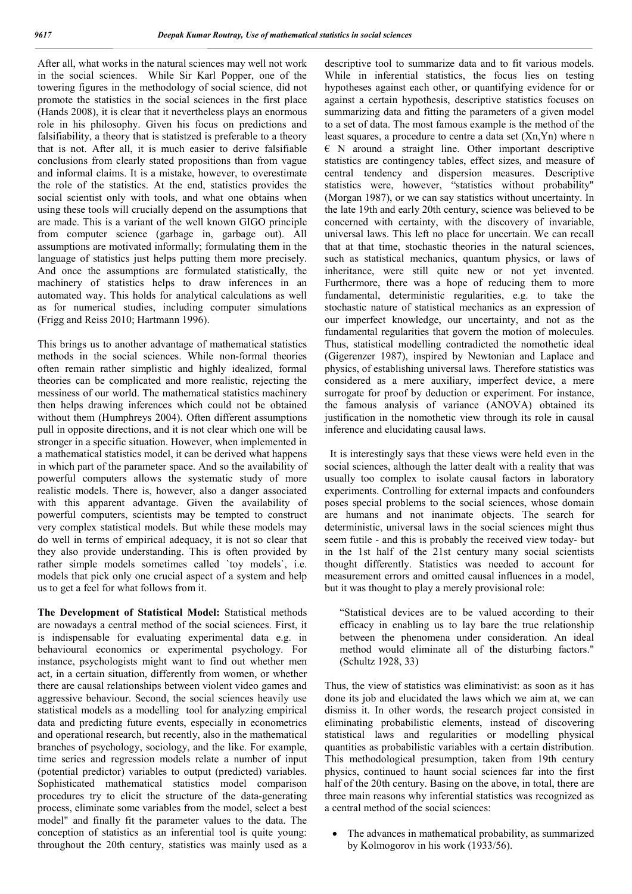After all, what works in the natural sciences may well not work in the social sciences. While Sir Karl Popper, one of the towering figures in the methodology of social science, did not promote the statistics in the social sciences in the first place (Hands 2008), it is clear that it nevertheless plays an enormous role in his philosophy. Given his focus on predictions and falsifiability, a theory that is statistzed is preferable to a theory that is not. After all, it is much easier to derive falsifiable conclusions from clearly stated propositions than from vague and informal claims. It is a mistake, however, to overestimate the role of the statistics. At the end, statistics provides the social scientist only with tools, and what one obtains when using these tools will crucially depend on the assumptions that are made. This is a variant of the well known GIGO principle from computer science (garbage in, garbage out). All assumptions are motivated informally; formulating them in the language of statistics just helps putting them more precisely. And once the assumptions are formulated statistically, the machinery of statistics helps to draw inferences in an automated way. This holds for analytical calculations as well as for numerical studies, including computer simulations (Frigg and Reiss 2010; Hartmann 1996).

This brings us to another advantage of mathematical statistics methods in the social sciences. While non-formal theories often remain rather simplistic and highly idealized, formal theories can be complicated and more realistic, rejecting the messiness of our world. The mathematical statistics machinery then helps drawing inferences which could not be obtained without them (Humphreys 2004). Often different assumptions pull in opposite directions, and it is not clear which one will be stronger in a specific situation. However, when implemented in a mathematical statistics model, it can be derived what happens in which part of the parameter space. And so the availability of powerful computers allows the systematic study of more realistic models. There is, however, also a danger associated with this apparent advantage. Given the availability of powerful computers, scientists may be tempted to construct very complex statistical models. But while these models may do well in terms of empirical adequacy, it is not so clear that they also provide understanding. This is often provided by rather simple models sometimes called `toy models`, i.e. models that pick only one crucial aspect of a system and help us to get a feel for what follows from it.

**The Development of Statistical Model:** Statistical methods are nowadays a central method of the social sciences. First, it is indispensable for evaluating experimental data e.g. in behavioural economics or experimental psychology. For instance, psychologists might want to find out whether men act, in a certain situation, differently from women, or whether there are causal relationships between violent video games and aggressive behaviour. Second, the social sciences heavily use statistical models as a modelling tool for analyzing empirical data and predicting future events, especially in econometrics and operational research, but recently, also in the mathematical branches of psychology, sociology, and the like. For example, time series and regression models relate a number of input (potential predictor) variables to output (predicted) variables. Sophisticated mathematical statistics model comparison procedures try to elicit the structure of the data-generating process, eliminate some variables from the model, select a best model" and finally fit the parameter values to the data. The conception of statistics as an inferential tool is quite young: throughout the 20th century, statistics was mainly used as a descriptive tool to summarize data and to fit various models. While in inferential statistics, the focus lies on testing hypotheses against each other, or quantifying evidence for or against a certain hypothesis, descriptive statistics focuses on summarizing data and fitting the parameters of a given model to a set of data. The most famous example is the method of the least squares, a procedure to centre a data set (Xn,Yn) where n  $\epsilon$  N around a straight line. Other important descriptive statistics are contingency tables, effect sizes, and measure of central tendency and dispersion measures. Descriptive statistics were, however, "statistics without probability" (Morgan 1987), or we can say statistics without uncertainty. In the late 19th and early 20th century, science was believed to be concerned with certainty, with the discovery of invariable, universal laws. This left no place for uncertain. We can recall that at that time, stochastic theories in the natural sciences, such as statistical mechanics, quantum physics, or laws of inheritance, were still quite new or not yet invented. Furthermore, there was a hope of reducing them to more fundamental, deterministic regularities, e.g. to take the stochastic nature of statistical mechanics as an expression of our imperfect knowledge, our uncertainty, and not as the fundamental regularities that govern the motion of molecules. Thus, statistical modelling contradicted the nomothetic ideal (Gigerenzer 1987), inspired by Newtonian and Laplace and physics, of establishing universal laws. Therefore statistics was considered as a mere auxiliary, imperfect device, a mere surrogate for proof by deduction or experiment. For instance, the famous analysis of variance (ANOVA) obtained its justification in the nomothetic view through its role in causal inference and elucidating causal laws.

 It is interestingly says that these views were held even in the social sciences, although the latter dealt with a reality that was usually too complex to isolate causal factors in laboratory experiments. Controlling for external impacts and confounders poses special problems to the social sciences, whose domain are humans and not inanimate objects. The search for deterministic, universal laws in the social sciences might thus seem futile - and this is probably the received view today- but in the 1st half of the 21st century many social scientists thought differently. Statistics was needed to account for measurement errors and omitted causal influences in a model, but it was thought to play a merely provisional role:

"Statistical devices are to be valued according to their efficacy in enabling us to lay bare the true relationship between the phenomena under consideration. An ideal method would eliminate all of the disturbing factors." (Schultz 1928, 33)

Thus, the view of statistics was eliminativist: as soon as it has done its job and elucidated the laws which we aim at, we can dismiss it. In other words, the research project consisted in eliminating probabilistic elements, instead of discovering statistical laws and regularities or modelling physical quantities as probabilistic variables with a certain distribution. This methodological presumption, taken from 19th century physics, continued to haunt social sciences far into the first half of the 20th century. Basing on the above, in total, there are three main reasons why inferential statistics was recognized as a central method of the social sciences:

 The advances in mathematical probability, as summarized by Kolmogorov in his work (1933/56).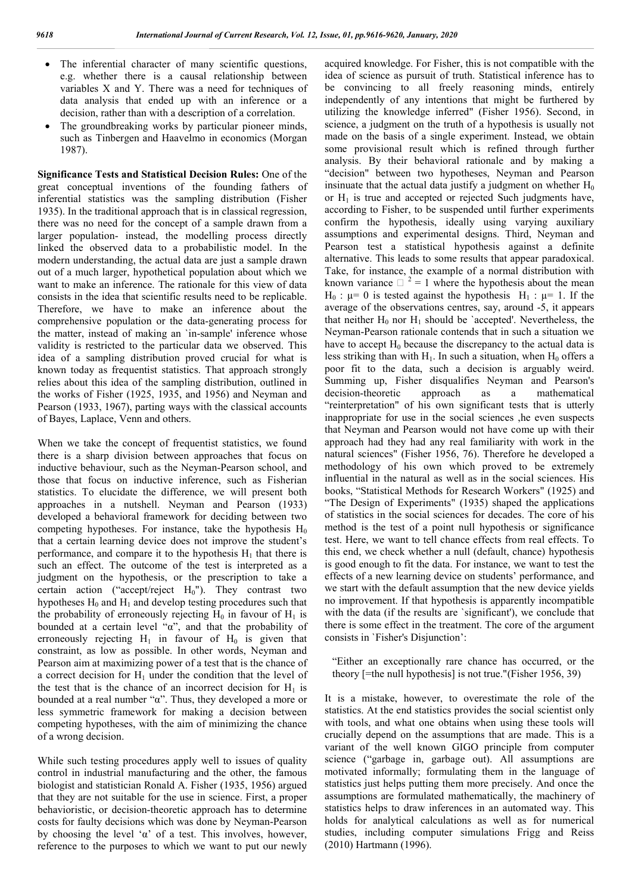- The inferential character of many scientific questions, e.g. whether there is a causal relationship between variables X and Y. There was a need for techniques of data analysis that ended up with an inference or a decision, rather than with a description of a correlation.
- The groundbreaking works by particular pioneer minds, such as Tinbergen and Haavelmo in economics (Morgan 1987).

**Significance Tests and Statistical Decision Rules:** One of the great conceptual inventions of the founding fathers of inferential statistics was the sampling distribution (Fisher 1935). In the traditional approach that is in classical regression, there was no need for the concept of a sample drawn from a larger population- instead, the modelling process directly linked the observed data to a probabilistic model. In the modern understanding, the actual data are just a sample drawn out of a much larger, hypothetical population about which we want to make an inference. The rationale for this view of data consists in the idea that scientific results need to be replicable. Therefore, we have to make an inference about the comprehensive population or the data-generating process for the matter, instead of making an `in-sample' inference whose validity is restricted to the particular data we observed. This idea of a sampling distribution proved crucial for what is known today as frequentist statistics. That approach strongly relies about this idea of the sampling distribution, outlined in the works of Fisher (1925, 1935, and 1956) and Neyman and Pearson (1933, 1967), parting ways with the classical accounts of Bayes, Laplace, Venn and others.

When we take the concept of frequentist statistics, we found there is a sharp division between approaches that focus on inductive behaviour, such as the Neyman-Pearson school, and those that focus on inductive inference, such as Fisherian statistics. To elucidate the difference, we will present both approaches in a nutshell. Neyman and Pearson (1933) developed a behavioral framework for deciding between two competing hypotheses. For instance, take the hypothesis  $H_0$ that a certain learning device does not improve the student's performance, and compare it to the hypothesis  $H_1$  that there is such an effect. The outcome of the test is interpreted as a judgment on the hypothesis, or the prescription to take a certain action ("accept/reject  $H_0$ "). They contrast two hypotheses  $H_0$  and  $H_1$  and develop testing procedures such that the probability of erroneously rejecting  $H_0$  in favour of  $H_1$  is bounded at a certain level "α", and that the probability of erroneously rejecting  $H_1$  in favour of  $H_0$  is given that constraint, as low as possible. In other words, Neyman and Pearson aim at maximizing power of a test that is the chance of a correct decision for  $H_1$  under the condition that the level of the test that is the chance of an incorrect decision for  $H_1$  is bounded at a real number "α". Thus, they developed a more or less symmetric framework for making a decision between competing hypotheses, with the aim of minimizing the chance of a wrong decision.

While such testing procedures apply well to issues of quality control in industrial manufacturing and the other, the famous biologist and statistician Ronald A. Fisher (1935, 1956) argued that they are not suitable for the use in science. First, a proper behavioristic, or decision-theoretic approach has to determine costs for faulty decisions which was done by Neyman-Pearson by choosing the level ' $\alpha$ ' of a test. This involves, however, reference to the purposes to which we want to put our newly acquired knowledge. For Fisher, this is not compatible with the idea of science as pursuit of truth. Statistical inference has to be convincing to all freely reasoning minds, entirely independently of any intentions that might be furthered by utilizing the knowledge inferred" (Fisher 1956). Second, in science, a judgment on the truth of a hypothesis is usually not made on the basis of a single experiment. Instead, we obtain some provisional result which is refined through further analysis. By their behavioral rationale and by making a "decision" between two hypotheses, Neyman and Pearson insinuate that the actual data justify a judgment on whether  $H_0$ or  $H_1$  is true and accepted or rejected Such judgments have, according to Fisher, to be suspended until further experiments confirm the hypothesis, ideally using varying auxiliary assumptions and experimental designs. Third, Neyman and Pearson test a statistical hypothesis against a definite alternative. This leads to some results that appear paradoxical. Take, for instance, the example of a normal distribution with known variance  $\Box$  <sup>2</sup> = 1 where the hypothesis about the mean  $H_0$ :  $\mu$  = 0 is tested against the hypothesis  $H_1$ :  $\mu$  = 1. If the average of the observations centres, say, around -5, it appears that neither  $H_0$  nor  $H_1$  should be 'accepted'. Nevertheless, the Neyman-Pearson rationale contends that in such a situation we have to accept  $H_0$  because the discrepancy to the actual data is less striking than with  $H_1$ . In such a situation, when  $H_0$  offers a poor fit to the data, such a decision is arguably weird. Summing up, Fisher disqualifies Neyman and Pearson's decision-theoretic approach as a mathematical "reinterpretation" of his own significant tests that is utterly inappropriate for use in the social sciences ,he even suspects that Neyman and Pearson would not have come up with their approach had they had any real familiarity with work in the natural sciences" (Fisher 1956, 76). Therefore he developed a methodology of his own which proved to be extremely influential in the natural as well as in the social sciences. His books, "Statistical Methods for Research Workers" (1925) and "The Design of Experiments" (1935) shaped the applications of statistics in the social sciences for decades. The core of his method is the test of a point null hypothesis or significance test. Here, we want to tell chance effects from real effects. To this end, we check whether a null (default, chance) hypothesis is good enough to fit the data. For instance, we want to test the effects of a new learning device on students' performance, and we start with the default assumption that the new device yields no improvement. If that hypothesis is apparently incompatible with the data (if the results are `significant'), we conclude that there is some effect in the treatment. The core of the argument consists in `Fisher's Disjunction':

"Either an exceptionally rare chance has occurred, or the theory [=the null hypothesis] is not true."(Fisher 1956, 39)

It is a mistake, however, to overestimate the role of the statistics. At the end statistics provides the social scientist only with tools, and what one obtains when using these tools will crucially depend on the assumptions that are made. This is a variant of the well known GIGO principle from computer science ("garbage in, garbage out). All assumptions are motivated informally; formulating them in the language of statistics just helps putting them more precisely. And once the assumptions are formulated mathematically, the machinery of statistics helps to draw inferences in an automated way. This holds for analytical calculations as well as for numerical studies, including computer simulations Frigg and Reiss (2010) Hartmann (1996).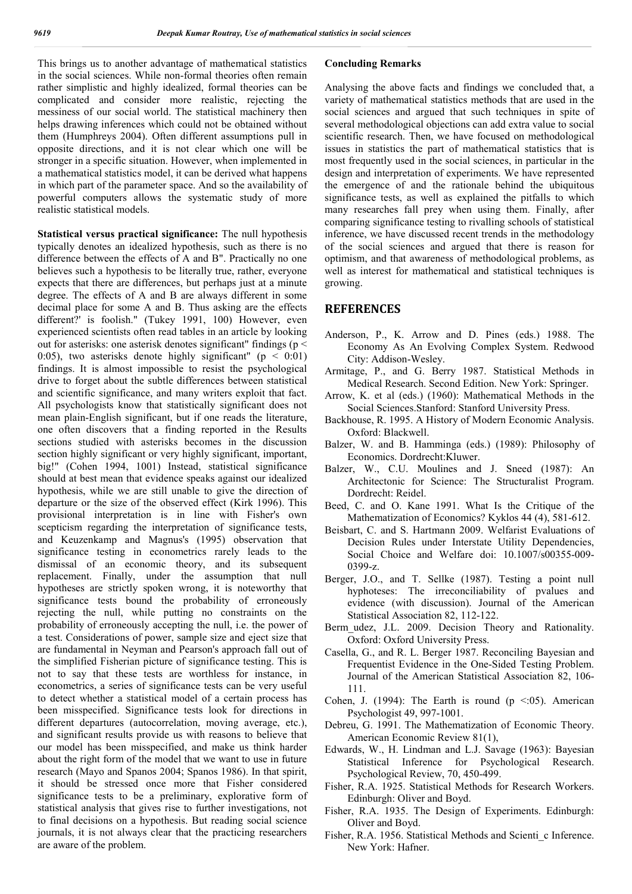This brings us to another advantage of mathematical statistics in the social sciences. While non-formal theories often remain rather simplistic and highly idealized, formal theories can be complicated and consider more realistic, rejecting the messiness of our social world. The statistical machinery then helps drawing inferences which could not be obtained without them (Humphreys 2004). Often different assumptions pull in opposite directions, and it is not clear which one will be stronger in a specific situation. However, when implemented in a mathematical statistics model, it can be derived what happens in which part of the parameter space. And so the availability of powerful computers allows the systematic study of more realistic statistical models.

**Statistical versus practical significance:** The null hypothesis typically denotes an idealized hypothesis, such as there is no difference between the effects of A and B". Practically no one believes such a hypothesis to be literally true, rather, everyone expects that there are differences, but perhaps just at a minute degree. The effects of A and B are always different in some decimal place for some A and B. Thus asking are the effects different?' is foolish." (Tukey 1991, 100) However, even experienced scientists often read tables in an article by looking out for asterisks: one asterisk denotes significant" findings (p < 0:05), two asterisks denote highly significant" ( $p \le 0.01$ ) findings. It is almost impossible to resist the psychological drive to forget about the subtle differences between statistical and scientific significance, and many writers exploit that fact. All psychologists know that statistically significant does not mean plain-English significant, but if one reads the literature, one often discovers that a finding reported in the Results sections studied with asterisks becomes in the discussion section highly significant or very highly significant, important, big!" (Cohen 1994, 1001) Instead, statistical significance should at best mean that evidence speaks against our idealized hypothesis, while we are still unable to give the direction of departure or the size of the observed effect (Kirk 1996). This provisional interpretation is in line with Fisher's own scepticism regarding the interpretation of significance tests, and Keuzenkamp and Magnus's (1995) observation that significance testing in econometrics rarely leads to the dismissal of an economic theory, and its subsequent replacement. Finally, under the assumption that null hypotheses are strictly spoken wrong, it is noteworthy that significance tests bound the probability of erroneously rejecting the null, while putting no constraints on the probability of erroneously accepting the null, i.e. the power of a test. Considerations of power, sample size and eject size that are fundamental in Neyman and Pearson's approach fall out of the simplified Fisherian picture of significance testing. This is not to say that these tests are worthless for instance, in econometrics, a series of significance tests can be very useful to detect whether a statistical model of a certain process has been misspecified. Significance tests look for directions in different departures (autocorrelation, moving average, etc.), and significant results provide us with reasons to believe that our model has been misspecified, and make us think harder about the right form of the model that we want to use in future research (Mayo and Spanos 2004; Spanos 1986). In that spirit, it should be stressed once more that Fisher considered significance tests to be a preliminary, explorative form of statistical analysis that gives rise to further investigations, not to final decisions on a hypothesis. But reading social science journals, it is not always clear that the practicing researchers are aware of the problem.

## **Concluding Remarks**

Analysing the above facts and findings we concluded that, a variety of mathematical statistics methods that are used in the social sciences and argued that such techniques in spite of several methodological objections can add extra value to social scientific research. Then, we have focused on methodological issues in statistics the part of mathematical statistics that is most frequently used in the social sciences, in particular in the design and interpretation of experiments. We have represented the emergence of and the rationale behind the ubiquitous significance tests, as well as explained the pitfalls to which many researches fall prey when using them. Finally, after comparing significance testing to rivalling schools of statistical inference, we have discussed recent trends in the methodology of the social sciences and argued that there is reason for optimism, and that awareness of methodological problems, as well as interest for mathematical and statistical techniques is growing.

## **REFERENCES**

- Anderson, P., K. Arrow and D. Pines (eds.) 1988. The Economy As An Evolving Complex System. Redwood City: Addison-Wesley.
- Armitage, P., and G. Berry 1987. Statistical Methods in Medical Research. Second Edition. New York: Springer.
- Arrow, K. et al (eds.) (1960): Mathematical Methods in the Social Sciences.Stanford: Stanford University Press.
- Backhouse, R. 1995. A History of Modern Economic Analysis. Oxford: Blackwell.
- Balzer, W. and B. Hamminga (eds.) (1989): Philosophy of Economics. Dordrecht:Kluwer.
- Balzer, W., C.U. Moulines and J. Sneed (1987): An Architectonic for Science: The Structuralist Program. Dordrecht: Reidel.
- Beed, C. and O. Kane 1991. What Is the Critique of the Mathematization of Economics? Kyklos 44 (4), 581-612.
- Beisbart, C. and S. Hartmann 2009. Welfarist Evaluations of Decision Rules under Interstate Utility Dependencies, Social Choice and Welfare doi: 10.1007/s00355-009- 0399-z.
- Berger, J.O., and T. Sellke (1987). Testing a point null hyphoteses: The irreconciliability of pvalues and evidence (with discussion). Journal of the American Statistical Association 82, 112-122.
- Berm udez, J.L. 2009. Decision Theory and Rationality. Oxford: Oxford University Press.
- Casella, G., and R. L. Berger 1987. Reconciling Bayesian and Frequentist Evidence in the One-Sided Testing Problem. Journal of the American Statistical Association 82, 106- 111.
- Cohen, J. (1994): The Earth is round ( $p \le 0.05$ ). American Psychologist 49, 997-1001.
- Debreu, G. 1991. The Mathematization of Economic Theory. American Economic Review 81(1),
- Edwards, W., H. Lindman and L.J. Savage (1963): Bayesian Statistical Inference for Psychological Research. Psychological Review, 70, 450-499.
- Fisher, R.A. 1925. Statistical Methods for Research Workers. Edinburgh: Oliver and Boyd.
- Fisher, R.A. 1935. The Design of Experiments. Edinburgh: Oliver and Boyd.
- Fisher, R.A. 1956. Statistical Methods and Scienti\_c Inference. New York: Hafner.